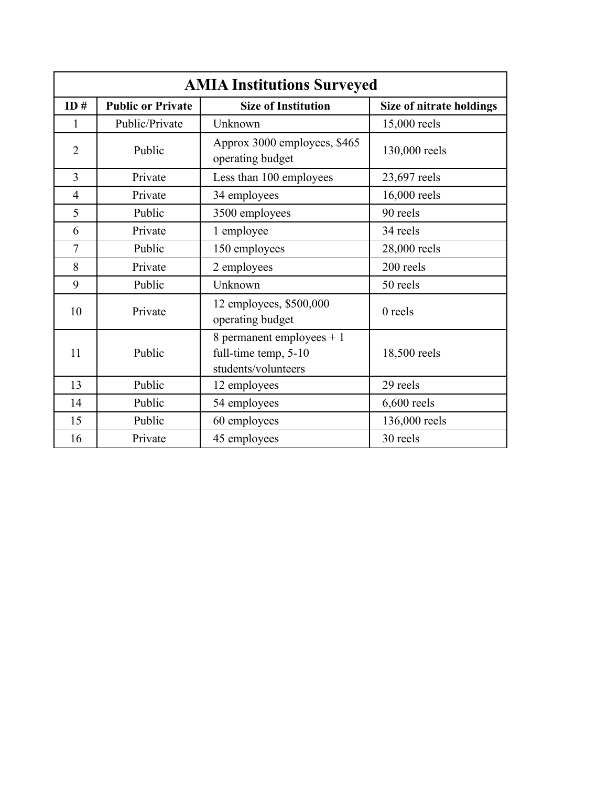| <b>AMIA Institutions Surveyed</b> |                          |                                                                           |                          |  |
|-----------------------------------|--------------------------|---------------------------------------------------------------------------|--------------------------|--|
| ID#                               | <b>Public or Private</b> | <b>Size of Institution</b>                                                | Size of nitrate holdings |  |
| 1                                 | Public/Private           | Unknown                                                                   | 15,000 reels             |  |
| $\overline{2}$                    | Public                   | Approx 3000 employees, \$465<br>operating budget                          | 130,000 reels            |  |
| $\overline{3}$                    | Private                  | Less than 100 employees                                                   | 23,697 reels             |  |
| $\overline{4}$                    | Private                  | 34 employees                                                              | 16,000 reels             |  |
| 5                                 | Public                   | 3500 employees                                                            | 90 reels                 |  |
| 6                                 | Private                  | 1 employee                                                                | 34 reels                 |  |
| 7                                 | Public                   | 150 employees                                                             | 28,000 reels             |  |
| 8                                 | Private                  | 2 employees                                                               | 200 reels                |  |
| 9                                 | Public                   | Unknown                                                                   | 50 reels                 |  |
| 10                                | Private                  | 12 employees, \$500,000<br>operating budget                               | $0$ reels                |  |
| 11                                | Public                   | 8 permanent employees $+1$<br>full-time temp, 5-10<br>students/volunteers | 18,500 reels             |  |
| 13                                | Public                   | 12 employees                                                              | 29 reels                 |  |
| 14                                | Public                   | 54 employees                                                              | $6,600$ reels            |  |
| 15                                | Public                   | 60 employees                                                              | 136,000 reels            |  |
| 16                                | Private                  | 45 employees                                                              | 30 reels                 |  |